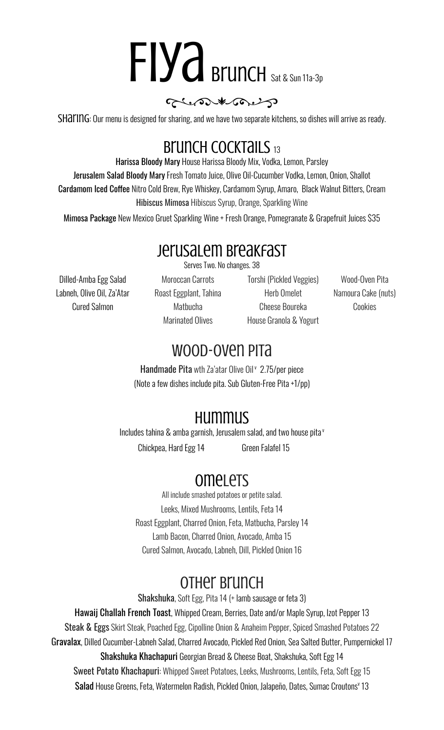# FIYA Brunch Sat & Sun 11a-3p

#### glene the

SHATING: Our menu is designed for sharing, and we have two separate kitchens, so dishes will arrive as ready.

### Brunch COCKTAILS 13

Harissa Bloody Mary House Harissa Bloody Mix, Vodka, Lemon, Parsley Jerusalem Salad Bloody Mary Fresh Tomato Juice, Olive Oil-Cucumber Vodka, Lemon, Onion, Shallot **Cardamom Iced Coffee Nitro Cold Brew, Rye Whiskey, Cardamom Syrup, Amaro, Black Walnut Bitters, Cream** Hibiscus Mimosa Hibiscus Syrup, Orange, Sparkling Wine

Mimosa Package New Mexico Gruet Sparkling Wine + Fresh Orange, Pomegranate & Grapefruit Juices \$35

#### Jerusalem Breakfast

Serves Two. No changes. 38

Dilled-Amba Egg Salad Moroccan Carrots Torshi (Pickled Veggies) Wood-Oven Pita Labneh, Olive Oil, Za'Atar Roast Eggplant, Tahina Herb Omelet Namoura Cake (nuts)

Cured Salmon Matbucha Cheese Boureka Cookies Marinated Olives House Granola & Yogurt

### Wood-Oven Pita

Handmade Pita wth Za'atar Olive Oil <sup>v</sup> 2.75/per piece (Note a few dishes include pita. Sub Gluten-Free Pita +1/pp)

# Hummus

Includes tahina & amba garnish, Jerusalem salad, and two house pita v

Chickpea, Hard Egg 14 **Green Falafel 15** 

# **omelets**

All include smashed potatoes or petite salad. Leeks, Mixed Mushrooms, Lentils, Feta 14 Roast Eggplant, Charred Onion, Feta, Matbucha, Parsley 14 Lamb Bacon, Charred Onion, Avocado, Amba 15 Cured Salmon, Avocado, Labneh, Dill, Pickled Onion 16

## Other Brunch

Shakshuka, Soft Egg, Pita 14 (+ lamb sausage or feta 3)

Hawaij Challah French Toast, Whipped Cream, Berries, Date and/or Maple Syrup, Izot Pepper 13 Steak & Eggs Skirt Steak, Poached Egg, Cipolline Onion & Anaheim Pepper, Spiced Smashed Potatoes 22 Gravalax, Dilled Cucumber-Labneh Salad, Charred Avocado, Pickled Red Onion, Sea Salted Butter, Pumpernickel 17 Shakshuka Khachapuri Georgian Bread & Cheese Boat, Shakshuka, Soft Egg 14 Sweet Potato Khachapuri: Whipped Sweet Potatoes, Leeks, Mushrooms, Lentils, Feta, Soft Egg 15 Salad House Greens, Feta, Watermelon Radish, Pickled Onion, Jalapeño, Dates, Sumac Croutons v 13